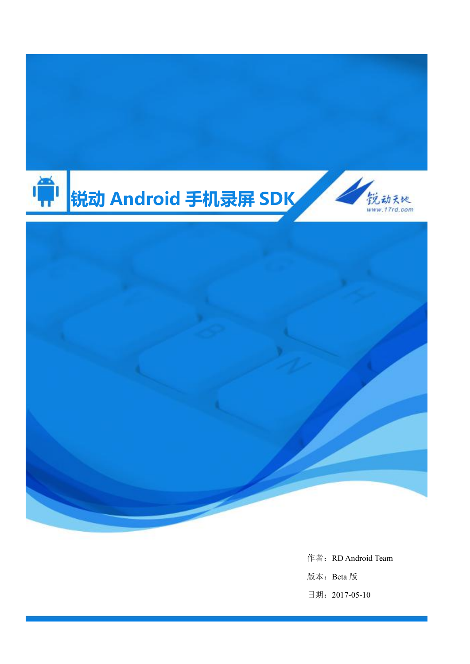

作者: RD Android Team 版本:Beta 版 日期:2017-05-10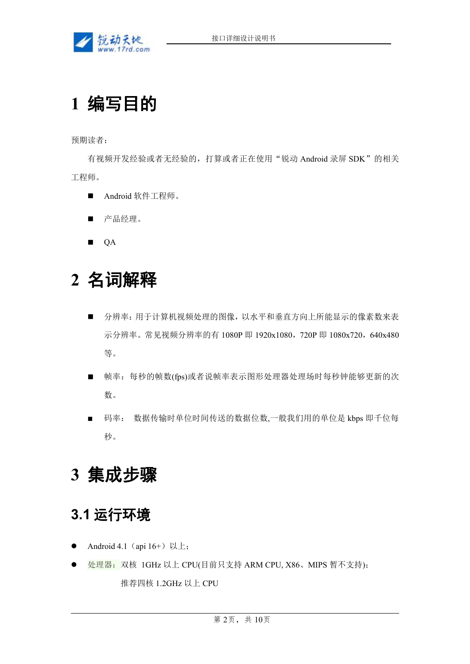

# **1** 编写目的

预期读者:

有视频开发经验或者无经验的,打算或者正在使用"锐动 Android 录屏 SDK"的相关 工程师。

- Android 软件工程师。
- 产品经理。
- **QA**

# **2** 名词解释

- 分辨率:用于计算机视频处理的图像,以水平和垂直方向上所能显示的像素数来表 示分辨率。常见视频分辨率的有 1080P 即 1920x1080, 720P 即 1080x720, 640x480 等。
- 帧率: 每秒的帧数(fps)或者说帧率表示图形处理器处理场时每秒钟能够更新的次 数。
- 码率: 数据传输时单位时间传送的数据位数,一般我们用的单位是 kbps 即千位每  $\psi$  。 we are the contract of  $\psi$  and  $\psi$  and  $\psi$  and  $\psi$  and  $\psi$  and  $\psi$  and  $\psi$  and  $\psi$  and  $\psi$  and  $\psi$  and  $\psi$  and  $\psi$  and  $\psi$  and  $\psi$  and  $\psi$  and  $\psi$  and  $\psi$  and  $\psi$  and  $\psi$  and  $\psi$  and  $\psi$  and

# **3** 集成步骤

## **3.1** 运行环境

- Android 4.1 (api 16+) 以上;
- 处理器: 双核 1GHz 以上 CPU(目前只支持 ARM CPU, X86、MIPS 暂不支持); 推荐四核 1.2GHz 以上 CPU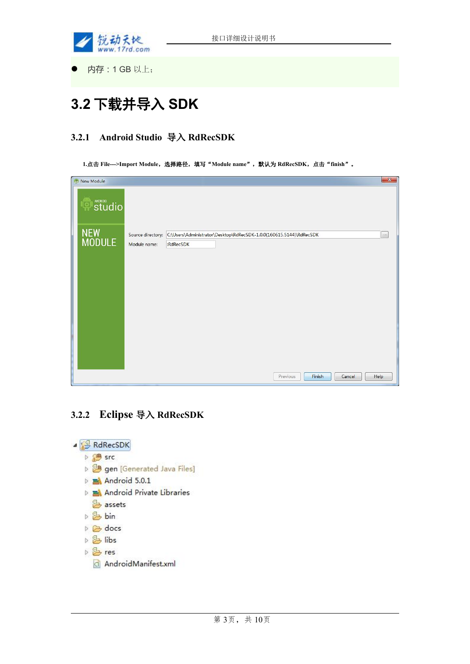

内存:1 GB 以上;

## **3.2** 下载并导入 **SDK**

### **3.2.1 Android Studio** 导入 **RdRecSDK**

**1.**点击 **File--->Import Module**,选择路径,填写"**Module name**",默认为 **RdRecSDK**,点击"**finish**"。

| $\mathbf{x}$<br>New Module |               |              |                                                                                       |        |  |  |
|----------------------------|---------------|--------------|---------------------------------------------------------------------------------------|--------|--|--|
|                            | <b>Studio</b> |              |                                                                                       |        |  |  |
|                            | NEW<br>MODULE |              | Source directory: C:\Users\Administrator\Desktop\RdRecSDK-1.0.0(160615.5144)\RdRecSDK | $\sim$ |  |  |
|                            |               | Module name: | :RdRecSDK                                                                             |        |  |  |
|                            |               |              |                                                                                       |        |  |  |
|                            |               |              |                                                                                       |        |  |  |
|                            |               |              |                                                                                       |        |  |  |
|                            |               |              |                                                                                       |        |  |  |
|                            |               |              |                                                                                       |        |  |  |
|                            |               |              |                                                                                       |        |  |  |
|                            |               |              |                                                                                       |        |  |  |
|                            |               |              |                                                                                       |        |  |  |
|                            |               |              |                                                                                       |        |  |  |
|                            |               |              |                                                                                       |        |  |  |
|                            |               |              | Finish<br>Previous<br>Help<br>Cancel                                                  |        |  |  |

## **3.2.2 Eclipse** 导入 **RdRecSDK**

⊿ RdRecSDK ▷ <sup>(患</sup> src > <mark>法 gen</mark> [Generated Java Files]  $\triangleright$   $\blacksquare$  Android 5.0.1 Android Private Libraries assets ▷ <sub>2</sub> bin  $\triangleright \bigtriangleright$  docs  $\triangleright$   $\frac{\partial}{\partial z}$  libs  $\triangleright$   $\mathcal{B}$  res **Q** AndroidManifest.xml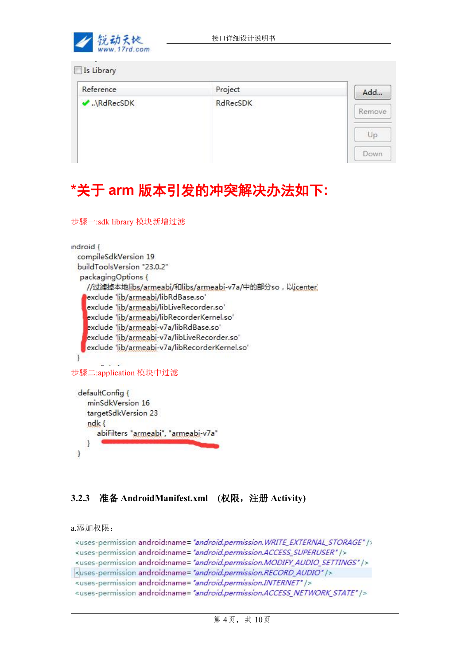

| Project  | Add    |
|----------|--------|
| RdRecSDK | Remove |
|          | Up     |
|          |        |

# **\***关于 **arm** 版本引发的冲突解决办法如下**:**

```
步骤一:sdk library 模块新增过滤
```

```
indroid {
 compileSdkVersion 19
  buildToolsVersion "23.0.2"
  packaging Options {
    //过滤掉本地libs/armeabi/和libs/armeabi-v7a/中的部分so,以icenter
    exclude 'lib/armeabi/libRdBase.so'
    exclude 'lib/armeabi/libLiveRecorder.so'
    exclude 'lib/armeabi/libRecorderKernel.so'
    exclude 'lib/armeabi-v7a/libRdBase.so'
    exclude 'lib/armeabi-v7a/libLiveRecorder.so'
    exclude 'lib/armeabi-v7a/libRecorderKernel.so'
 3
步骤二:application 模块中过滤
  defaultConfig {
    minSdkVersion 16
    targetSdkVersion 23
    ndkabiFilters "armeabi", "armeabi-v7a"
    8
 \cdot
```
### **3.2.3** 准备 **AndroidManifest.xml (**权限,注册 **Activity)**

a.添加权限:

```
<uses-permission android:name="android.permission.WRITE EXTERNAL STORAGE" />
<uses-permission android:name="android.permission.ACCESS_SUPERUSER" />
<uses-permission android:name="android.permission.MODIFY_AUDIO_SETTINGS" />
<uses-permission android:name="android.permission.RECORD_AUDIO" />
<uses-permission android:name="android.permission.INTERNET" />
<uses-permission android:name="android.permission.ACCESS_NETWORK_STATE" />
```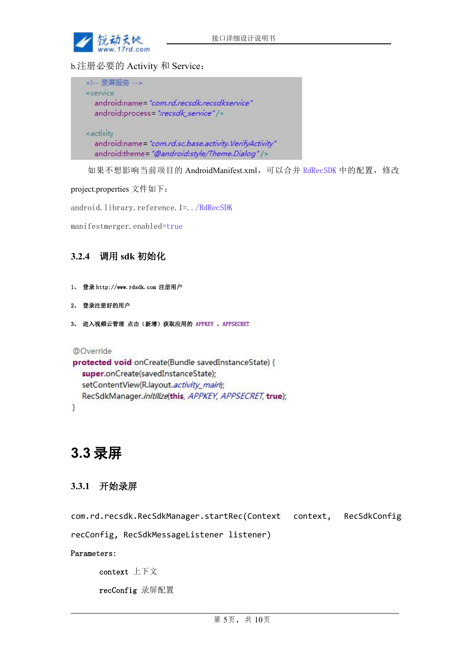

b.注册必要的 Activity 和 Service:

| 录屏服务                                                  |  |
|-------------------------------------------------------|--|
| <service< td=""><td></td></service<>                  |  |
| android:name="com.rd.recsdk.recsdkservice"            |  |
| android:process=":recsdk_service" />                  |  |
| <activity< td=""><td></td></activity<>                |  |
| android:name="com.rd.sc.base.activity.VerifyActivity" |  |
| android:theme="@android:style/Theme.Dialog" />        |  |

如果不想影响当前项目的 AndroidManifest.xml,可以合并 RdRecSDK 中的配置,修改

project.properties 文件如下:

android.library.reference.1=../RdRecSDK

manifestmerger.enabled=true

### **3.2.4** 调用 **sdk** 初始化

- 1、 登录 http://www.rdsdk.com 注册用户
- 2、 登录注册好的用户
- 3、 进入视频云管理 点击(新增)获取应用的 APPKEY 、APPSECRET

@Override

```
protected void onCreate(Bundle savedInstanceState) {
  super.onCreate(savedInstanceState);
  setContentView(R.layout.activity main);
  RecSdkManager.initilize(this, APPKEY, APPSECRET, true);
\mathbf{I}
```
## **3.3** 录屏

### **3.3.1** 开始录屏

com.rd.recsdk[.RecSdkManager](eclipse-javadoc:%E2%98%82=RdRecSDK/src<com.rd.recsdk{RecSdkManager.java%E2%98%83RecSdkManager).startRec([Context](eclipse-javadoc:%E2%98%82=RdRecSDK/src<com.rd.recsdk{RecSdkManager.java%E2%98%83RecSdkManager~startRec~QContext;~QRecSdkConfig;~QRecSdkMessageListener;%E2%98%82Context) context, [RecSdkConfig](eclipse-javadoc:%E2%98%82=RdRecSDK/src<com.rd.recsdk{RecSdkManager.java%E2%98%83RecSdkManager~startRec~QContext;~QRecSdkConfig;~QRecSdkMessageListener;%E2%98%82RecSdkConfig)

recConfig, [RecSdkMessageListener](eclipse-javadoc:%E2%98%82=RdRecSDK/src<com.rd.recsdk{RecSdkManager.java%E2%98%83RecSdkManager~startRec~QContext;~QRecSdkConfig;~QRecSdkMessageListener;%E2%98%82RecSdkMessageListener) listener)

Parameters:

context 上下文

recConfig 录屏配置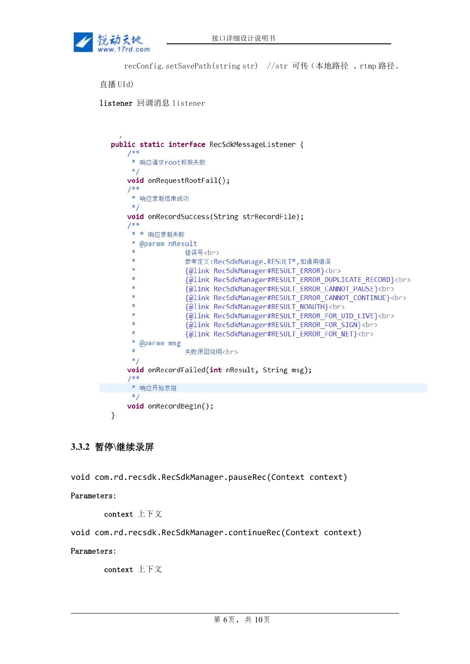

```
recConfig.setSavePath(string str) //str 可传(本地路径 、rtmp 路径、
```
直播 UId)

listener 回调消息 listener

```
public static interface RecSdkMessageListener {
    7**** 响应请求root权限失败
     *1void onRequestRootFail();
    1**
    * 响应录制结束成功
     *void onRecordSuccess(String strRecordFile);
    1**** * 响应录制失败
     \ast@param nResult
     \mathbf{A}错误号<br>
     ×
                  参考定义:RecSdkManage.RESULT*,如通用错误
     \ast{@link RecSdkManager#RESULT_ERROR}<br>
     š
                  {@link RecSdkManager#RESULT_ERROR_DUPLICATE_RECORD}<br>
                  {@link RecSdkManager#RESULT ERROR CANNOT PAUSE}<br>
                  {@link RecSdkManager#RESULT ERROR CANNOT CONTINUE}<br>
                  {@link RecSdkManager#RESULT NOAUTH}<br>
                  {@link RecSdkManager#RESULT ERROR FOR UID LIVE}<br>
     \ddot{\ast}{@link RecSdkManager#RESULT ERROR FOR SIGN}<br>
     \dot{\mathbf{x}}{@link RecSdkManager#RESULT ERROR FOR NET}<br>
     \ast@param msg
     \ast失败原因说明<br>
     *void onRecordFailed(int nResult, String msg);
    1**
     * 响应开始录制
     *void onRecordBegin();
}
```
### **3.3.2** 暂停**\**继续录屏

void com.rd.recsdk.[RecSdkManager](eclipse-javadoc:%E2%98%82=RdRecSDKDemo/E:\/Develop\/rd\/RecSdk\/RdRecSDK\/bin\/rdrecsdk.jar<com.rd.recsdk(RecSdkManager.class%E2%98%83RecSdkManager).pauseRec([Context](eclipse-javadoc:%E2%98%82=RdRecSDKDemo/E:\/Develop\/rd\/RecSdk\/RdRecSDK\/bin\/rdrecsdk.jar<com.rd.recsdk(RecSdkManager.class%E2%98%83RecSdkManager~endRec~Landroid.content.Context;%E2%98%82Context) context)

#### Parameters:

context 上下文

void com.rd.recsdk.[RecSdkManager](eclipse-javadoc:%E2%98%82=RdRecSDKDemo/E:\/Develop\/rd\/RecSdk\/RdRecSDK\/bin\/rdrecsdk.jar<com.rd.recsdk(RecSdkManager.class%E2%98%83RecSdkManager).continueRec([Context](eclipse-javadoc:%E2%98%82=RdRecSDKDemo/E:\/Develop\/rd\/RecSdk\/RdRecSDK\/bin\/rdrecsdk.jar<com.rd.recsdk(RecSdkManager.class%E2%98%83RecSdkManager~endRec~Landroid.content.Context;%E2%98%82Context) context)

#### Parameters:

context 上下文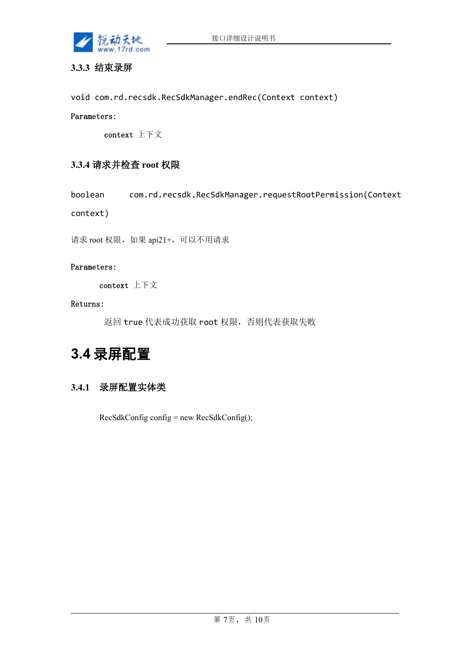

### **3.3.3** 结束录屏

void com.rd.recsdk.[RecSdkManager](eclipse-javadoc:%E2%98%82=RdRecSDKDemo/E:\/Develop\/rd\/RecSdk\/RdRecSDK\/bin\/rdrecsdk.jar<com.rd.recsdk(RecSdkManager.class%E2%98%83RecSdkManager).endRec([Context](eclipse-javadoc:%E2%98%82=RdRecSDKDemo/E:\/Develop\/rd\/RecSdk\/RdRecSDK\/bin\/rdrecsdk.jar<com.rd.recsdk(RecSdkManager.class%E2%98%83RecSdkManager~endRec~Landroid.content.Context;%E2%98%82Context) context)

#### Parameters:

context 上下文

#### **3.3.4** 请求并检查 **root** 权限

boolean com.rd.recsdk[.RecSdkManager](eclipse-javadoc:%E2%98%82=RdRecSDK/src<com.rd.recsdk{RecSdkManager.java%E2%98%83RecSdkManager).requestRootPermission[\(Context](eclipse-javadoc:%E2%98%82=RdRecSDK/src<com.rd.recsdk{RecSdkManager.java%E2%98%83RecSdkManager~requestRootPermission~QContext;%E2%98%82Context)

context)

请求 root 权限, 如果 api21+, 可以不用请求

#### Parameters:

context 上下文

#### Returns:

返回 true 代表成功获取 root 权限,否则代表获取失败

## **3.4** 录屏配置

### **3.4.1** 录屏配置实体类

RecSdkConfig config = new RecSdkConfig();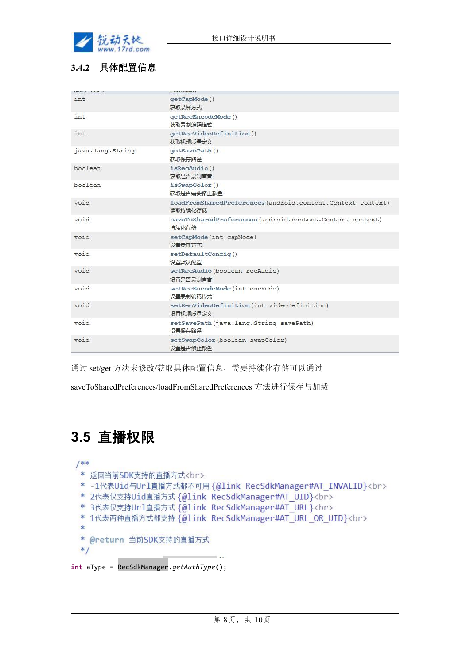

## **3.4.2** 具体配置信息

| int              | qetCapMode()<br>获取录屏方式                                                |
|------------------|-----------------------------------------------------------------------|
| int              | qetRecEncodeMode()<br>获取录制编码模式                                        |
| int              | qetRecVideoDefinition()<br>获取视频质量定义                                   |
| java.lang.String | qetSavePath()<br>获取保存路径                                               |
| boolean          | isRecAudio()<br>获取是否录制声音                                              |
| boolean          | isSwapColor()<br>获取是否需要修正颜色                                           |
| void             | loadFromSharedPreferences(android.content.Context context)<br>读取持续化存储 |
| void             | saveToSharedPreferences(android.content.Context context)<br>持续化存储     |
| void             | setCapMode(int capMode)<br>设置录屏方式                                     |
| void             | setDefaultConfig()<br>设置默认配置                                          |
| void             | setRecAudio (boolean recAudio)<br>设置是否录制声音                            |
| void             | setRecEncodeMode(int encMode)<br>设置录制编码模式                             |
| void             | setRecVideoDefinition(int videoDefinition)<br>设置视频质量定义                |
| void             | setSavePath(java.lang.String savePath)<br>设置保存路径                      |
| void             | setSwapColor(boolean swapColor)<br>设置是否修正颜色                           |

通过 set/get 方法来修改/获取具体配置信息,需要持续化存储可以通过

saveToSharedPreferences/loadFromSharedPreferences 方法进行保存与加载

## **3.5** 直播权限

 $1$ \*\*

- \* 返回当前SDK支持的直播方式<br>
- \* -1代表Uid与Url直播方式都不可用 {@link RecSdkManager#AT INVALID}<br>
- \* 2代表仅支持Uid直播方式 {@link RecSdkManager#AT UID}<br>
- \* 3代表仅支持Url直播方式 {@link RecSdkManager#AT URL}<br>
- \* 1代表两种直播方式都支持 {@link RecSdkManager#AT URL OR UID}<br>
- $\ast$
- \* @return 当前SDK支持的直播方式
- $*$

**int** aType = RecSdkManager.*getAuthType*();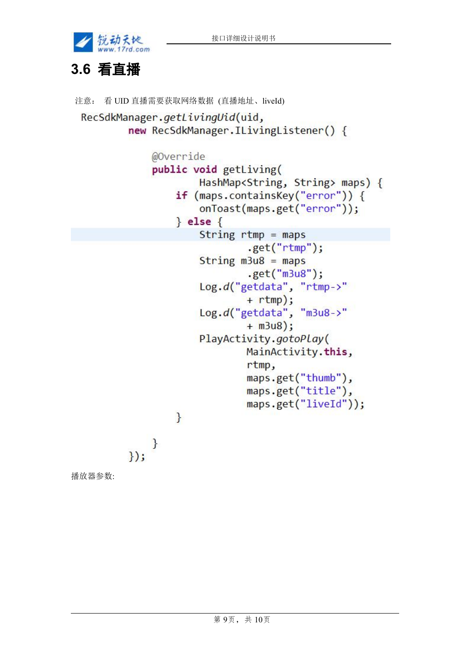

## **3.6** 看直播

```
注意: 看 UID 直播需要获取网络数据 (直播地址、liveId)
 RecSdkManager.getLivingUid(uid,
          new RecSdkManager.ILivingListener() {
              @Override
              public void getLiving(
                      HashMap<String, String> maps) {
                  if (maps.containsKey("error")) {
                      onToast(maps.get("error"));
                  \} else {
                      String rtmp = maps.get("rtmp");
                      String m3u8 = maps.get("m3u8");
                      Log.d("getdata", "rtmp->"
                              + rtmp);
                      Log.d("getdata", "m3u8->"
                              + m3u8);PlayActivity.gotoPlay(
                              MainActivity.this,
                              rtmp,
                              maps.get("thumb"),
                              maps.get("title"),
                              maps.get("liveId"));
                  \mathcal{L}\}\});
播放器参数:
```